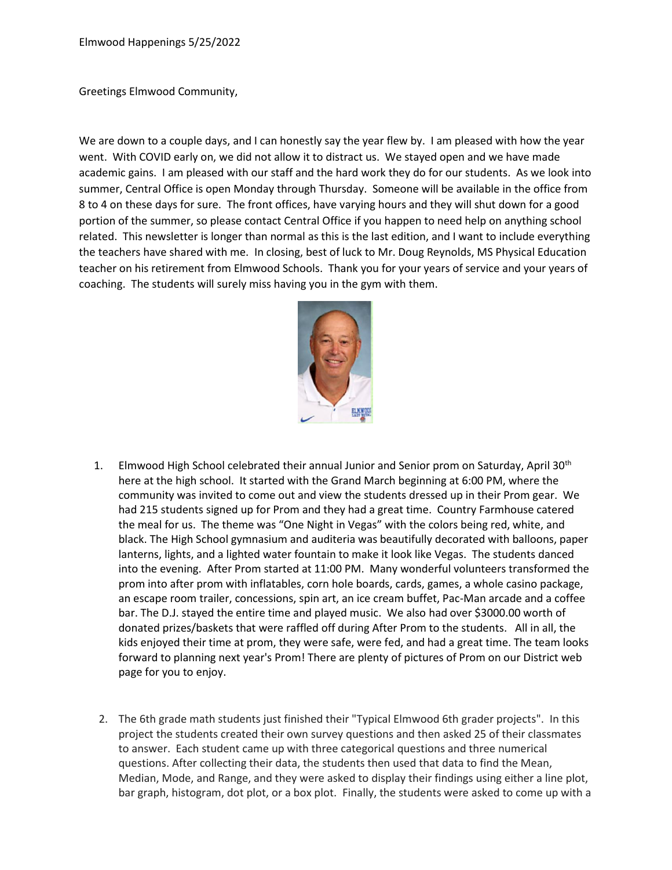Greetings Elmwood Community,

We are down to a couple days, and I can honestly say the year flew by. I am pleased with how the year went. With COVID early on, we did not allow it to distract us. We stayed open and we have made academic gains. I am pleased with our staff and the hard work they do for our students. As we look into summer, Central Office is open Monday through Thursday. Someone will be available in the office from 8 to 4 on these days for sure. The front offices, have varying hours and they will shut down for a good portion of the summer, so please contact Central Office if you happen to need help on anything school related. This newsletter is longer than normal as this is the last edition, and I want to include everything the teachers have shared with me. In closing, best of luck to Mr. Doug Reynolds, MS Physical Education teacher on his retirement from Elmwood Schools. Thank you for your years of service and your years of coaching. The students will surely miss having you in the gym with them.



- 1. Elmwood High School celebrated their annual Junior and Senior prom on Saturday, April 30<sup>th</sup> here at the high school. It started with the Grand March beginning at 6:00 PM, where the community was invited to come out and view the students dressed up in their Prom gear. We had 215 students signed up for Prom and they had a great time. Country Farmhouse catered the meal for us. The theme was "One Night in Vegas" with the colors being red, white, and black. The High School gymnasium and auditeria was beautifully decorated with balloons, paper lanterns, lights, and a lighted water fountain to make it look like Vegas. The students danced into the evening. After Prom started at 11:00 PM. Many wonderful volunteers transformed the prom into after prom with inflatables, corn hole boards, cards, games, a whole casino package, an escape room trailer, concessions, spin art, an ice cream buffet, Pac-Man arcade and a coffee bar. The D.J. stayed the entire time and played music. We also had over \$3000.00 worth of donated prizes/baskets that were raffled off during After Prom to the students. All in all, the kids enjoyed their time at prom, they were safe, were fed, and had a great time. The team looks forward to planning next year's Prom! There are plenty of pictures of Prom on our District web page for you to enjoy.
- 2. The 6th grade math students just finished their "Typical Elmwood 6th grader projects". In this project the students created their own survey questions and then asked 25 of their classmates to answer. Each student came up with three categorical questions and three numerical questions. After collecting their data, the students then used that data to find the Mean, Median, Mode, and Range, and they were asked to display their findings using either a line plot, bar graph, histogram, dot plot, or a box plot. Finally, the students were asked to come up with a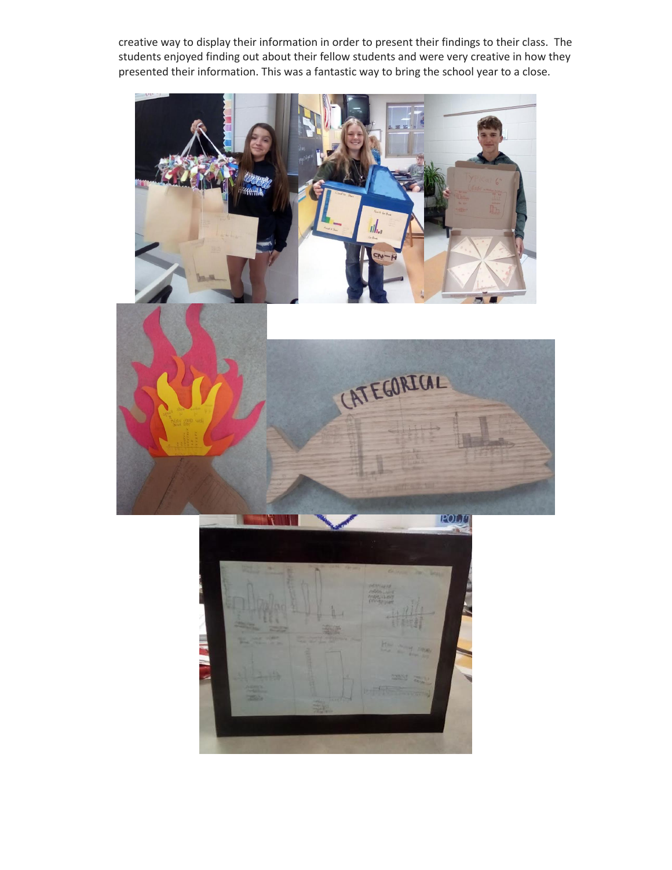creative way to display their information in order to present their findings to their class. The students enjoyed finding out about their fellow students and were very creative in how they presented their information. This was a fantastic way to bring the school year to a close.





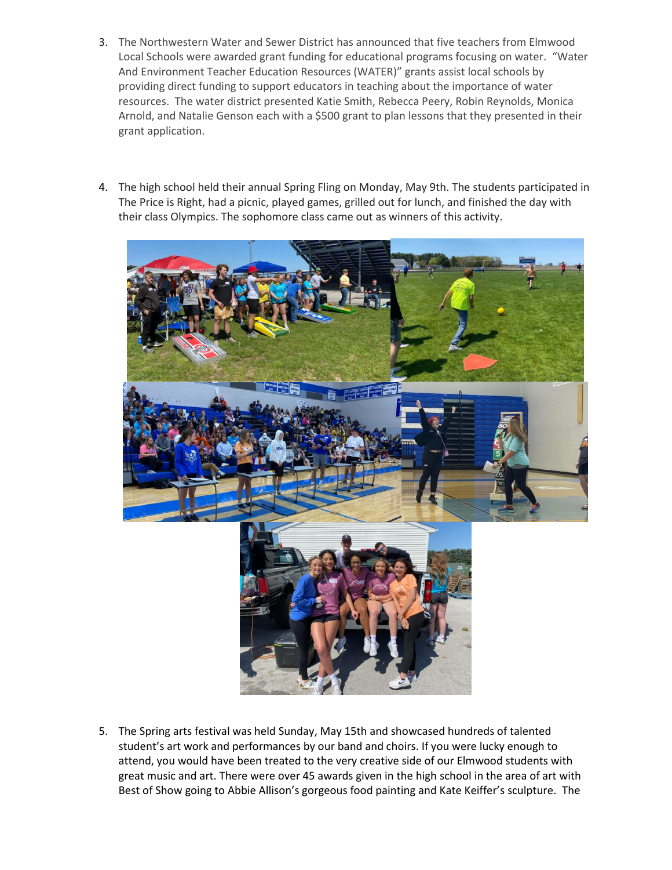- 3. The Northwestern Water and Sewer District has announced that five teachers from Elmwood Local Schools were awarded grant funding for educational programs focusing on water. "Water And Environment Teacher Education Resources (WATER)" grants assist local schools by providing direct funding to support educators in teaching about the importance of water resources. The water district presented Katie Smith, Rebecca Peery, Robin Reynolds, Monica Arnold, and Natalie Genson each with a \$500 grant to plan lessons that they presented in their grant application.
- 4. The high school held their annual Spring Fling on Monday, May 9th. The students participated in The Price is Right, had a picnic, played games, grilled out for lunch, and finished the day with their class Olympics. The sophomore class came out as winners of this activity.



5. The Spring arts festival was held Sunday, May 15th and showcased hundreds of talented student's art work and performances by our band and choirs. If you were lucky enough to attend, you would have been treated to the very creative side of our Elmwood students with great music and art. There were over 45 awards given in the high school in the area of art with Best of Show going to Abbie Allison's gorgeous food painting and Kate Keiffer's sculpture. The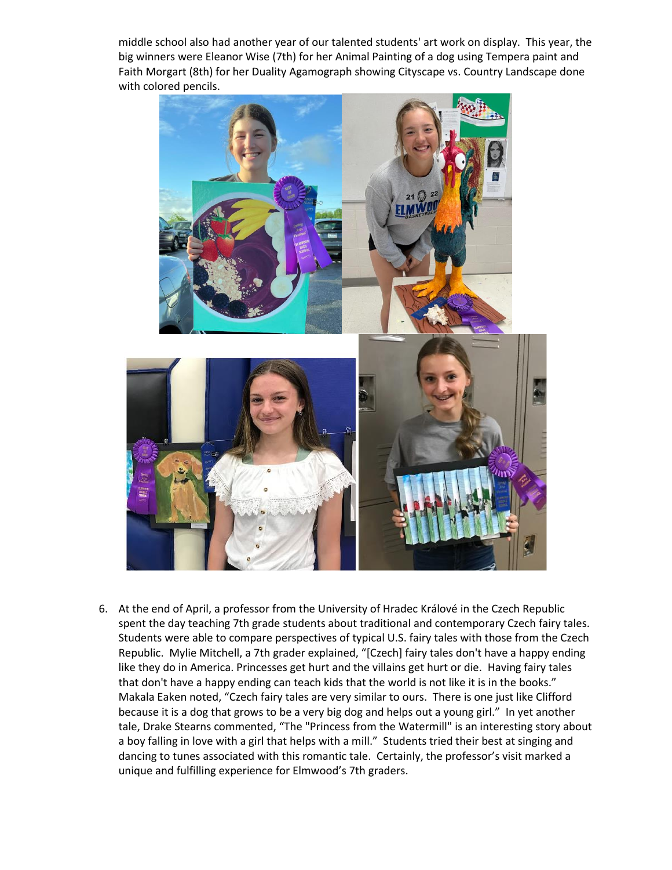middle school also had another year of our talented students' art work on display. This year, the big winners were Eleanor Wise (7th) for her Animal Painting of a dog using Tempera paint and Faith Morgart (8th) for her Duality Agamograph showing Cityscape vs. Country Landscape done with colored pencils.



6. At the end of April, a professor from the University of Hradec Králové in the Czech Republic spent the day teaching 7th grade students about traditional and contemporary Czech fairy tales. Students were able to compare perspectives of typical U.S. fairy tales with those from the Czech Republic. Mylie Mitchell, a 7th grader explained, "[Czech] fairy tales don't have a happy ending like they do in America. Princesses get hurt and the villains get hurt or die. Having fairy tales that don't have a happy ending can teach kids that the world is not like it is in the books." Makala Eaken noted, "Czech fairy tales are very similar to ours. There is one just like Clifford because it is a dog that grows to be a very big dog and helps out a young girl." In yet another tale, Drake Stearns commented, "The "Princess from the Watermill" is an interesting story about a boy falling in love with a girl that helps with a mill." Students tried their best at singing and dancing to tunes associated with this romantic tale. Certainly, the professor's visit marked a unique and fulfilling experience for Elmwood's 7th graders.